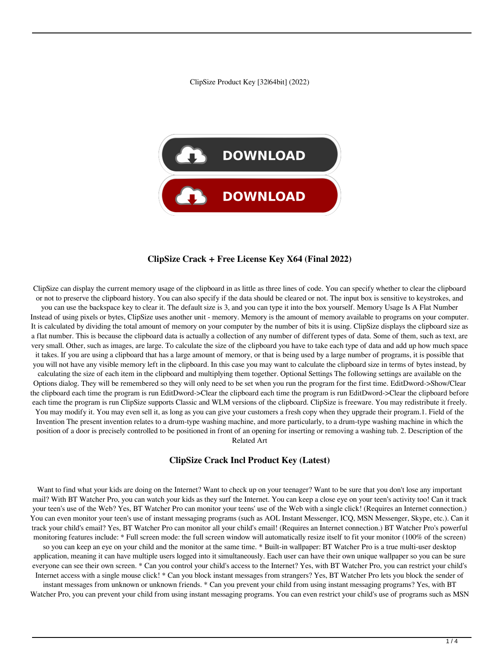ClipSize Product Key [32|64bit] (2022)



#### **ClipSize Crack + Free License Key X64 (Final 2022)**

ClipSize can display the current memory usage of the clipboard in as little as three lines of code. You can specify whether to clear the clipboard or not to preserve the clipboard history. You can also specify if the data should be cleared or not. The input box is sensitive to keystrokes, and you can use the backspace key to clear it. The default size is 3, and you can type it into the box yourself. Memory Usage Is A Flat Number Instead of using pixels or bytes, ClipSize uses another unit - memory. Memory is the amount of memory available to programs on your computer. It is calculated by dividing the total amount of memory on your computer by the number of bits it is using. ClipSize displays the clipboard size as a flat number. This is because the clipboard data is actually a collection of any number of different types of data. Some of them, such as text, are very small. Other, such as images, are large. To calculate the size of the clipboard you have to take each type of data and add up how much space it takes. If you are using a clipboard that has a large amount of memory, or that is being used by a large number of programs, it is possible that you will not have any visible memory left in the clipboard. In this case you may want to calculate the clipboard size in terms of bytes instead, by calculating the size of each item in the clipboard and multiplying them together. Optional Settings The following settings are available on the Options dialog. They will be remembered so they will only need to be set when you run the program for the first time. EditDword->Show/Clear the clipboard each time the program is run EditDword->Clear the clipboard each time the program is run EditDword->Clear the clipboard before each time the program is run ClipSize supports Classic and WLM versions of the clipboard. ClipSize is freeware. You may redistribute it freely. You may modify it. You may even sell it, as long as you can give your customers a fresh copy when they upgrade their program.1. Field of the Invention The present invention relates to a drum-type washing machine, and more particularly, to a drum-type washing machine in which the position of a door is precisely controlled to be positioned in front of an opening for inserting or removing a washing tub. 2. Description of the Related Art

#### **ClipSize Crack Incl Product Key (Latest)**

Want to find what your kids are doing on the Internet? Want to check up on your teenager? Want to be sure that you don't lose any important mail? With BT Watcher Pro, you can watch your kids as they surf the Internet. You can keep a close eye on your teen's activity too! Can it track your teen's use of the Web? Yes, BT Watcher Pro can monitor your teens' use of the Web with a single click! (Requires an Internet connection.) You can even monitor your teen's use of instant messaging programs (such as AOL Instant Messenger, ICQ, MSN Messenger, Skype, etc.). Can it track your child's email? Yes, BT Watcher Pro can monitor all your child's email! (Requires an Internet connection.) BT Watcher Pro's powerful monitoring features include: \* Full screen mode: the full screen window will automatically resize itself to fit your monitor (100% of the screen)

so you can keep an eye on your child and the monitor at the same time. \* Built-in wallpaper: BT Watcher Pro is a true multi-user desktop application, meaning it can have multiple users logged into it simultaneously. Each user can have their own unique wallpaper so you can be sure everyone can see their own screen. \* Can you control your child's access to the Internet? Yes, with BT Watcher Pro, you can restrict your child's Internet access with a single mouse click! \* Can you block instant messages from strangers? Yes, BT Watcher Pro lets you block the sender of

instant messages from unknown or unknown friends. \* Can you prevent your child from using instant messaging programs? Yes, with BT Watcher Pro, you can prevent your child from using instant messaging programs. You can even restrict your child's use of programs such as MSN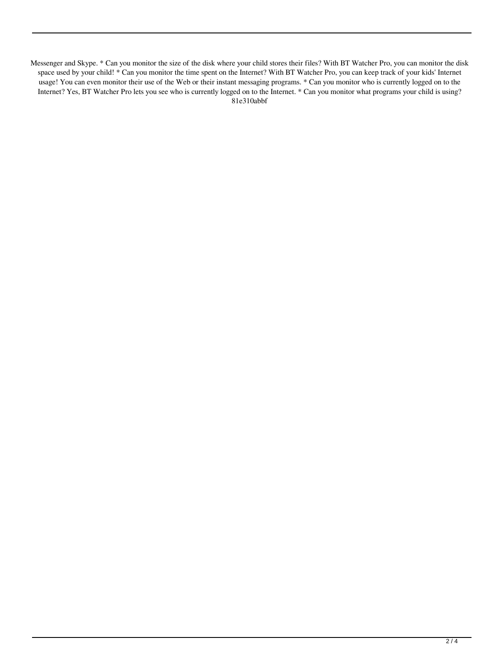Messenger and Skype. \* Can you monitor the size of the disk where your child stores their files? With BT Watcher Pro, you can monitor the disk space used by your child! \* Can you monitor the time spent on the Internet? With BT Watcher Pro, you can keep track of your kids' Internet usage! You can even monitor their use of the Web or their instant messaging programs. \* Can you monitor who is currently logged on to the Internet? Yes, BT Watcher Pro lets you see who is currently logged on to the Internet. \* Can you monitor what programs your child is using? 81e310abbf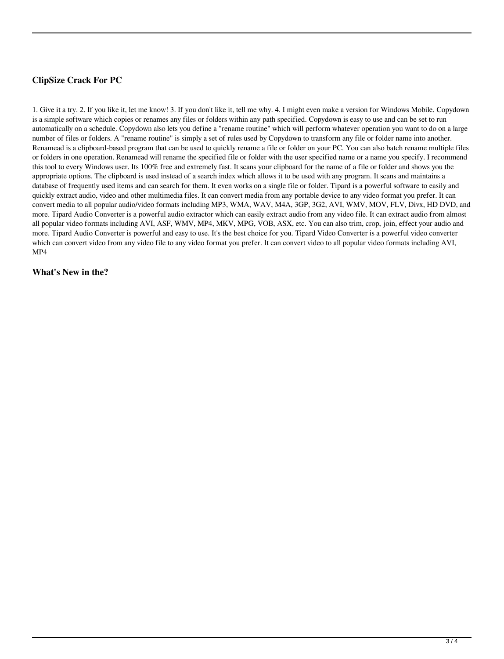# **ClipSize Crack For PC**

1. Give it a try. 2. If you like it, let me know! 3. If you don't like it, tell me why. 4. I might even make a version for Windows Mobile. Copydown is a simple software which copies or renames any files or folders within any path specified. Copydown is easy to use and can be set to run automatically on a schedule. Copydown also lets you define a "rename routine" which will perform whatever operation you want to do on a large number of files or folders. A "rename routine" is simply a set of rules used by Copydown to transform any file or folder name into another. Renamead is a clipboard-based program that can be used to quickly rename a file or folder on your PC. You can also batch rename multiple files or folders in one operation. Renamead will rename the specified file or folder with the user specified name or a name you specify. I recommend this tool to every Windows user. Its 100% free and extremely fast. It scans your clipboard for the name of a file or folder and shows you the appropriate options. The clipboard is used instead of a search index which allows it to be used with any program. It scans and maintains a database of frequently used items and can search for them. It even works on a single file or folder. Tipard is a powerful software to easily and quickly extract audio, video and other multimedia files. It can convert media from any portable device to any video format you prefer. It can convert media to all popular audio/video formats including MP3, WMA, WAV, M4A, 3GP, 3G2, AVI, WMV, MOV, FLV, Divx, HD DVD, and more. Tipard Audio Converter is a powerful audio extractor which can easily extract audio from any video file. It can extract audio from almost all popular video formats including AVI, ASF, WMV, MP4, MKV, MPG, VOB, ASX, etc. You can also trim, crop, join, effect your audio and more. Tipard Audio Converter is powerful and easy to use. It's the best choice for you. Tipard Video Converter is a powerful video converter which can convert video from any video file to any video format you prefer. It can convert video to all popular video formats including AVI, MP4

### **What's New in the?**